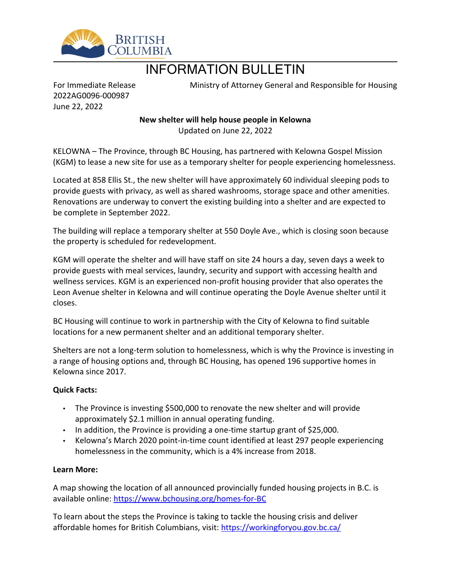

## INFORMATION BULLETIN

For Immediate Release 2022AG0096-000987 June 22, 2022

Ministry of Attorney General and Responsible for Housing

**New shelter will help house people in Kelowna** Updated on June 22, 2022

KELOWNA – The Province, through BC Housing, has partnered with Kelowna Gospel Mission (KGM) to lease a new site for use as a temporary shelter for people experiencing homelessness.

Located at 858 Ellis St., the new shelter will have approximately 60 individual sleeping pods to provide guests with privacy, as well as shared washrooms, storage space and other amenities. Renovations are underway to convert the existing building into a shelter and are expected to be complete in September 2022.

The building will replace a temporary shelter at 550 Doyle Ave., which is closing soon because the property is scheduled for redevelopment.

KGM will operate the shelter and will have staff on site 24 hours a day, seven days a week to provide guests with meal services, laundry, security and support with accessing health and wellness services. KGM is an experienced non-profit housing provider that also operates the Leon Avenue shelter in Kelowna and will continue operating the Doyle Avenue shelter until it closes.

BC Housing will continue to work in partnership with the City of Kelowna to find suitable locations for a new permanent shelter and an additional temporary shelter.

Shelters are not a long-term solution to homelessness, which is why the Province is investing in a range of housing options and, through BC Housing, has opened 196 supportive homes in Kelowna since 2017.

## **Quick Facts:**

- The Province is investing \$500,000 to renovate the new shelter and will provide approximately \$2.1 million in annual operating funding.
- In addition, the Province is providing a one-time startup grant of \$25,000.
- Kelowna's March 2020 point-in-time count identified at least 297 people experiencing homelessness in the community, which is a 4% increase from 2018.

## **Learn More:**

A map showing the location of all announced provincially funded housing projects in B.C. is available online:<https://www.bchousing.org/homes-for-BC>

To learn about the steps the Province is taking to tackle the housing crisis and deliver affordable homes for British Columbians, visit:<https://workingforyou.gov.bc.ca/>